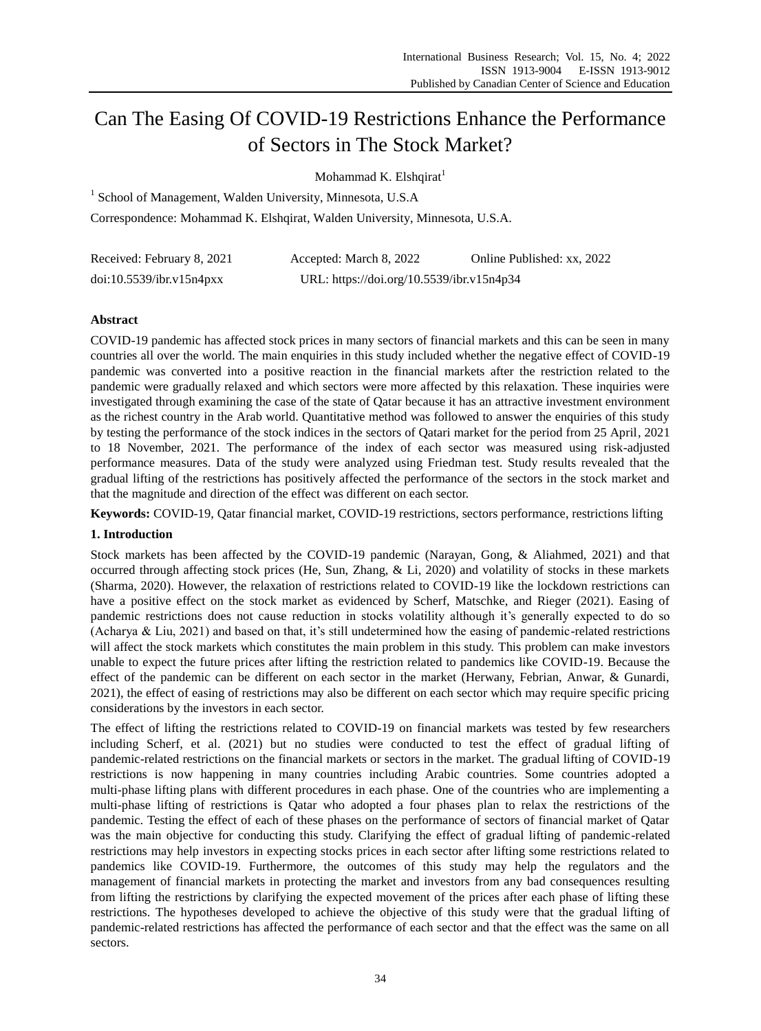# Can The Easing Of COVID-19 Restrictions Enhance the Performance of Sectors in The Stock Market?

Mohammad K. Elshqirat $<sup>1</sup>$ </sup>

<sup>1</sup> School of Management, Walden University, Minnesota, U.S.A Correspondence: Mohammad K. Elshqirat, Walden University, Minnesota, U.S.A.

| Received: February 8, 2021 | Accepted: March 8, 2022                   | Online Published: xx, 2022 |
|----------------------------|-------------------------------------------|----------------------------|
| doi:10.5539/ibr.v15n4pxx   | URL: https://doi.org/10.5539/ibr.v15n4p34 |                            |

## **Abstract**

COVID-19 pandemic has affected stock prices in many sectors of financial markets and this can be seen in many countries all over the world. The main enquiries in this study included whether the negative effect of COVID-19 pandemic was converted into a positive reaction in the financial markets after the restriction related to the pandemic were gradually relaxed and which sectors were more affected by this relaxation. These inquiries were investigated through examining the case of the state of Qatar because it has an attractive investment environment as the richest country in the Arab world. Quantitative method was followed to answer the enquiries of this study by testing the performance of the stock indices in the sectors of Qatari market for the period from 25 April, 2021 to 18 November, 2021. The performance of the index of each sector was measured using risk-adjusted performance measures. Data of the study were analyzed using Friedman test. Study results revealed that the gradual lifting of the restrictions has positively affected the performance of the sectors in the stock market and that the magnitude and direction of the effect was different on each sector.

**Keywords:** COVID-19, Qatar financial market, COVID-19 restrictions, sectors performance, restrictions lifting

## **1. Introduction**

Stock markets has been affected by the COVID-19 pandemic (Narayan, Gong, & Aliahmed, 2021) and that occurred through affecting stock prices (He, Sun, Zhang, & Li, 2020) and volatility of stocks in these markets (Sharma, 2020). However, the relaxation of restrictions related to COVID-19 like the lockdown restrictions can have a positive effect on the stock market as evidenced by Scherf, Matschke, and Rieger (2021). Easing of pandemic restrictions does not cause reduction in stocks volatility although it's generally expected to do so (Acharya & Liu, 2021) and based on that, it's still undetermined how the easing of pandemic-related restrictions will affect the stock markets which constitutes the main problem in this study. This problem can make investors unable to expect the future prices after lifting the restriction related to pandemics like COVID-19. Because the effect of the pandemic can be different on each sector in the market (Herwany, Febrian, Anwar, & Gunardi, 2021), the effect of easing of restrictions may also be different on each sector which may require specific pricing considerations by the investors in each sector.

The effect of lifting the restrictions related to COVID-19 on financial markets was tested by few researchers including Scherf, et al. (2021) but no studies were conducted to test the effect of gradual lifting of pandemic-related restrictions on the financial markets or sectors in the market. The gradual lifting of COVID-19 restrictions is now happening in many countries including Arabic countries. Some countries adopted a multi-phase lifting plans with different procedures in each phase. One of the countries who are implementing a multi-phase lifting of restrictions is Qatar who adopted a four phases plan to relax the restrictions of the pandemic. Testing the effect of each of these phases on the performance of sectors of financial market of Qatar was the main objective for conducting this study. Clarifying the effect of gradual lifting of pandemic-related restrictions may help investors in expecting stocks prices in each sector after lifting some restrictions related to pandemics like COVID-19. Furthermore, the outcomes of this study may help the regulators and the management of financial markets in protecting the market and investors from any bad consequences resulting from lifting the restrictions by clarifying the expected movement of the prices after each phase of lifting these restrictions. The hypotheses developed to achieve the objective of this study were that the gradual lifting of pandemic-related restrictions has affected the performance of each sector and that the effect was the same on all sectors.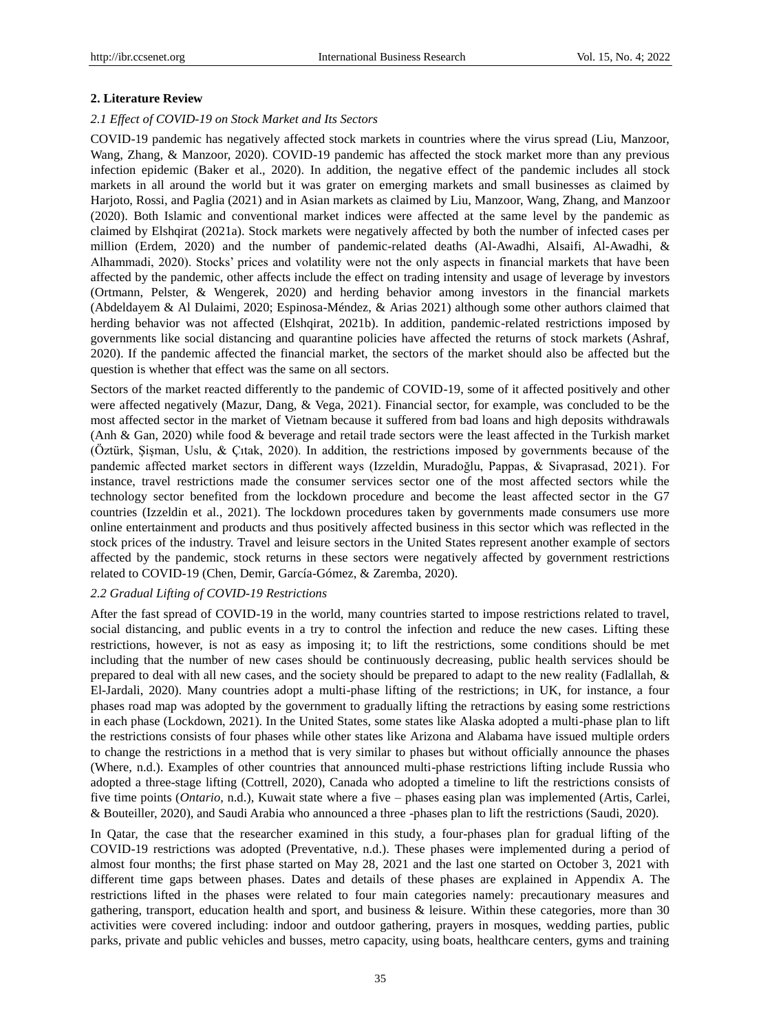## **2. Literature Review**

### *2.1 Effect of COVID-19 on Stock Market and Its Sectors*

COVID-19 pandemic has negatively affected stock markets in countries where the virus spread (Liu, Manzoor, Wang, Zhang, & Manzoor, 2020). COVID-19 pandemic has affected the stock market more than any previous infection epidemic (Baker et al., 2020). In addition, the negative effect of the pandemic includes all stock markets in all around the world but it was grater on emerging markets and small businesses as claimed by Harjoto, Rossi, and Paglia (2021) and in Asian markets as claimed by Liu, Manzoor, Wang, Zhang, and Manzoor (2020). Both Islamic and conventional market indices were affected at the same level by the pandemic as claimed by Elshqirat (2021a). Stock markets were negatively affected by both the number of infected cases per million (Erdem, 2020) and the number of pandemic-related deaths (Al-Awadhi, Alsaifi, Al-Awadhi, & Alhammadi, 2020). Stocks' prices and volatility were not the only aspects in financial markets that have been affected by the pandemic, other affects include the effect on trading intensity and usage of leverage by investors (Ortmann, Pelster, & Wengerek, 2020) and herding behavior among investors in the financial markets (Abdeldayem & Al Dulaimi, 2020; Espinosa-Méndez, & Arias 2021) although some other authors claimed that herding behavior was not affected (Elshqirat, 2021b). In addition, pandemic-related restrictions imposed by governments like social distancing and quarantine policies have affected the returns of stock markets (Ashraf, 2020). If the pandemic affected the financial market, the sectors of the market should also be affected but the question is whether that effect was the same on all sectors.

Sectors of the market reacted differently to the pandemic of COVID-19, some of it affected positively and other were affected negatively (Mazur, Dang, & Vega, 2021). Financial sector, for example, was concluded to be the most affected sector in the market of Vietnam because it suffered from bad loans and high deposits withdrawals (Anh & Gan, 2020) while food & beverage and retail trade sectors were the least affected in the Turkish market (Öztürk, Şişman, Uslu, & Çıtak, 2020). In addition, the restrictions imposed by governments because of the pandemic affected market sectors in different ways (Izzeldin, Muradoğlu, Pappas, & Sivaprasad, 2021). For instance, travel restrictions made the consumer services sector one of the most affected sectors while the technology sector benefited from the lockdown procedure and become the least affected sector in the G7 countries (Izzeldin et al., 2021). The lockdown procedures taken by governments made consumers use more online entertainment and products and thus positively affected business in this sector which was reflected in the stock prices of the industry. Travel and leisure sectors in the United States represent another example of sectors affected by the pandemic, stock returns in these sectors were negatively affected by government restrictions related to COVID-19 (Chen, Demir, Garc á-Gómez, & Zaremba, 2020).

## *2.2 Gradual Lifting of COVID-19 Restrictions*

After the fast spread of COVID-19 in the world, many countries started to impose restrictions related to travel, social distancing, and public events in a try to control the infection and reduce the new cases. Lifting these restrictions, however, is not as easy as imposing it; to lift the restrictions, some conditions should be met including that the number of new cases should be continuously decreasing, public health services should be prepared to deal with all new cases, and the society should be prepared to adapt to the new reality (Fadlallah, & El-Jardali, 2020). Many countries adopt a multi-phase lifting of the restrictions; in UK, for instance, a four phases road map was adopted by the government to gradually lifting the retractions by easing some restrictions in each phase (Lockdown, 2021). In the United States, some states like Alaska adopted a multi-phase plan to lift the restrictions consists of four phases while other states like Arizona and Alabama have issued multiple orders to change the restrictions in a method that is very similar to phases but without officially announce the phases (Where, n.d.). Examples of other countries that announced multi-phase restrictions lifting include Russia who adopted a three-stage lifting (Cottrell, 2020), Canada who adopted a timeline to lift the restrictions consists of five time points (*Ontario,* n.d.), Kuwait state where a five – phases easing plan was implemented (Artis, Carlei, & Bouteiller, 2020), and Saudi Arabia who announced a three -phases plan to lift the restrictions (Saudi, 2020).

In Qatar, the case that the researcher examined in this study, a four-phases plan for gradual lifting of the COVID-19 restrictions was adopted (Preventative, n.d.). These phases were implemented during a period of almost four months; the first phase started on May 28, 2021 and the last one started on October 3, 2021 with different time gaps between phases. Dates and details of these phases are explained in Appendix A. The restrictions lifted in the phases were related to four main categories namely: precautionary measures and gathering, transport, education health and sport, and business & leisure. Within these categories, more than 30 activities were covered including: indoor and outdoor gathering, prayers in mosques, wedding parties, public parks, private and public vehicles and busses, metro capacity, using boats, healthcare centers, gyms and training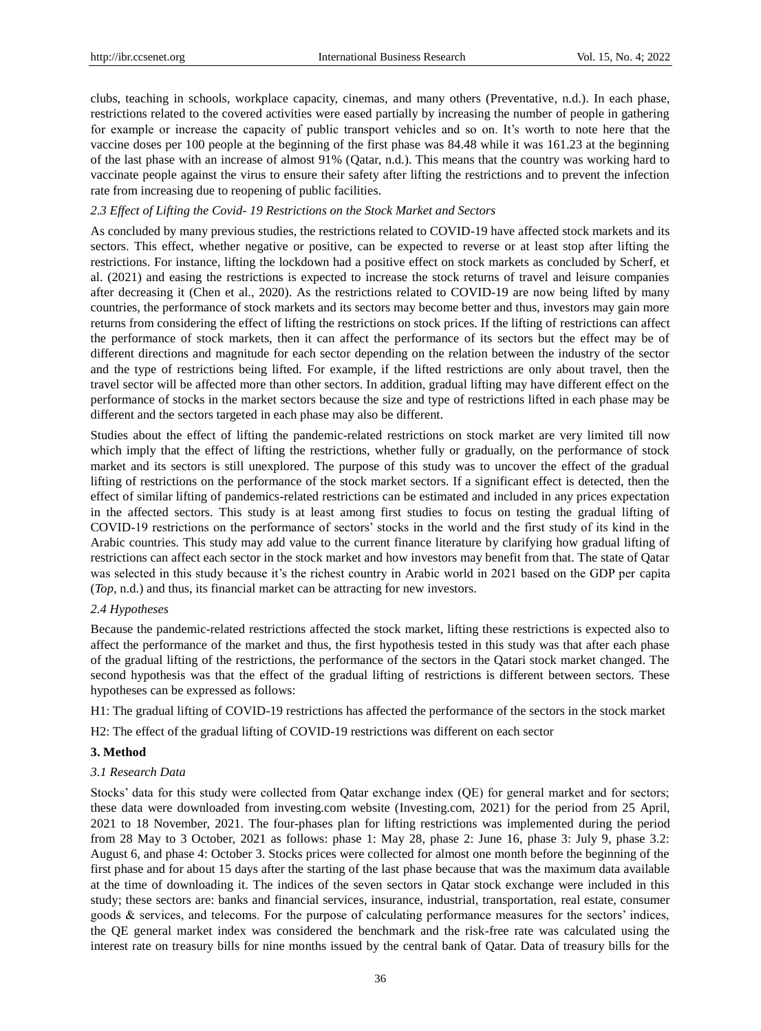clubs, teaching in schools, workplace capacity, cinemas, and many others (Preventative, n.d.). In each phase, restrictions related to the covered activities were eased partially by increasing the number of people in gathering for example or increase the capacity of public transport vehicles and so on. It's worth to note here that the vaccine doses per 100 people at the beginning of the first phase was 84.48 while it was 161.23 at the beginning of the last phase with an increase of almost 91% (Qatar, n.d.). This means that the country was working hard to vaccinate people against the virus to ensure their safety after lifting the restrictions and to prevent the infection rate from increasing due to reopening of public facilities.

## *2.3 Effect of Lifting the Covid- 19 Restrictions on the Stock Market and Sectors*

As concluded by many previous studies, the restrictions related to COVID-19 have affected stock markets and its sectors. This effect, whether negative or positive, can be expected to reverse or at least stop after lifting the restrictions. For instance, lifting the lockdown had a positive effect on stock markets as concluded by Scherf, et al. (2021) and easing the restrictions is expected to increase the stock returns of travel and leisure companies after decreasing it (Chen et al., 2020). As the restrictions related to COVID-19 are now being lifted by many countries, the performance of stock markets and its sectors may become better and thus, investors may gain more returns from considering the effect of lifting the restrictions on stock prices. If the lifting of restrictions can affect the performance of stock markets, then it can affect the performance of its sectors but the effect may be of different directions and magnitude for each sector depending on the relation between the industry of the sector and the type of restrictions being lifted. For example, if the lifted restrictions are only about travel, then the travel sector will be affected more than other sectors. In addition, gradual lifting may have different effect on the performance of stocks in the market sectors because the size and type of restrictions lifted in each phase may be different and the sectors targeted in each phase may also be different.

Studies about the effect of lifting the pandemic-related restrictions on stock market are very limited till now which imply that the effect of lifting the restrictions, whether fully or gradually, on the performance of stock market and its sectors is still unexplored. The purpose of this study was to uncover the effect of the gradual lifting of restrictions on the performance of the stock market sectors. If a significant effect is detected, then the effect of similar lifting of pandemics-related restrictions can be estimated and included in any prices expectation in the affected sectors. This study is at least among first studies to focus on testing the gradual lifting of COVID-19 restrictions on the performance of sectors' stocks in the world and the first study of its kind in the Arabic countries. This study may add value to the current finance literature by clarifying how gradual lifting of restrictions can affect each sector in the stock market and how investors may benefit from that. The state of Qatar was selected in this study because it's the richest country in Arabic world in 2021 based on the GDP per capita (*Top,* n.d.) and thus, its financial market can be attracting for new investors.

## *2.4 Hypotheses*

Because the pandemic-related restrictions affected the stock market, lifting these restrictions is expected also to affect the performance of the market and thus, the first hypothesis tested in this study was that after each phase of the gradual lifting of the restrictions, the performance of the sectors in the Qatari stock market changed. The second hypothesis was that the effect of the gradual lifting of restrictions is different between sectors. These hypotheses can be expressed as follows:

H1: The gradual lifting of COVID-19 restrictions has affected the performance of the sectors in the stock market

H2: The effect of the gradual lifting of COVID-19 restrictions was different on each sector

## **3. Method**

## *3.1 Research Data*

Stocks' data for this study were collected from Qatar exchange index (QE) for general market and for sectors; these data were downloaded from investing.com website (Investing.com, 2021) for the period from 25 April, 2021 to 18 November, 2021. The four-phases plan for lifting restrictions was implemented during the period from 28 May to 3 October, 2021 as follows: phase 1: May 28, phase 2: June 16, phase 3: July 9, phase 3.2: August 6, and phase 4: October 3. Stocks prices were collected for almost one month before the beginning of the first phase and for about 15 days after the starting of the last phase because that was the maximum data available at the time of downloading it. The indices of the seven sectors in Qatar stock exchange were included in this study; these sectors are: banks and financial services, insurance, industrial, transportation, real estate, consumer goods & services, and telecoms. For the purpose of calculating performance measures for the sectors' indices, the QE general market index was considered the benchmark and the risk-free rate was calculated using the interest rate on treasury bills for nine months issued by the central bank of Qatar. Data of treasury bills for the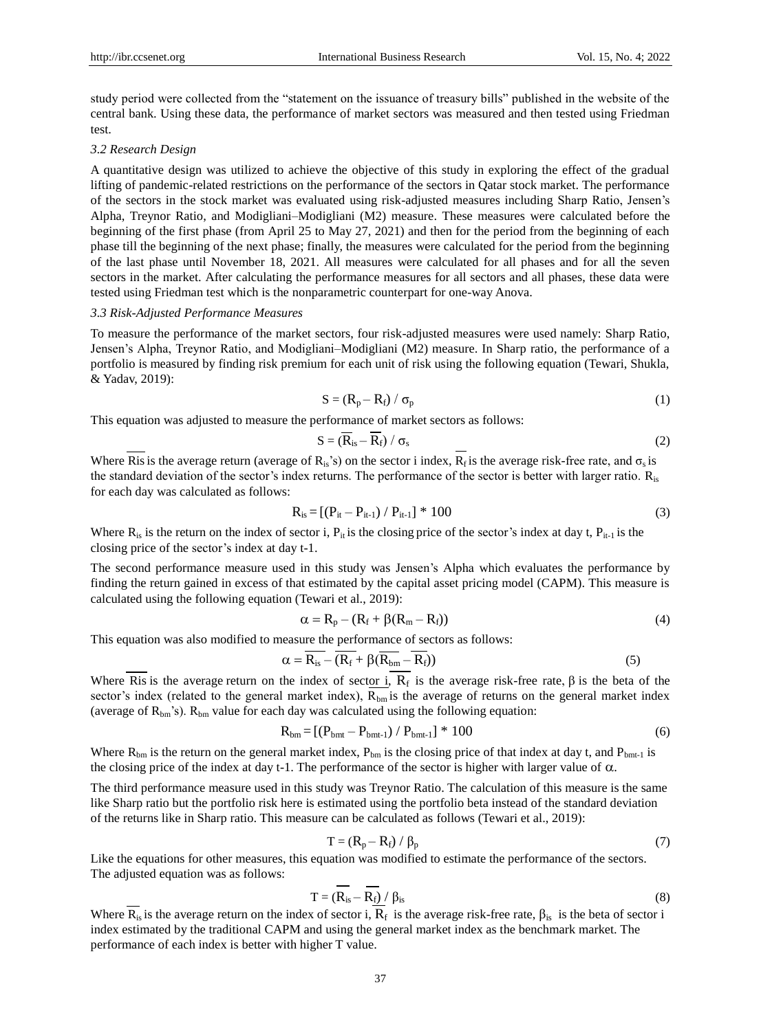study period were collected from the "statement on the issuance of treasury bills" published in the website of the central bank. Using these data, the performance of market sectors was measured and then tested using Friedman test.

#### *3.2 Research Design*

A quantitative design was utilized to achieve the objective of this study in exploring the effect of the gradual lifting of pandemic-related restrictions on the performance of the sectors in Qatar stock market. The performance of the sectors in the stock market was evaluated using risk-adjusted measures including Sharp Ratio, Jensen's Alpha, Treynor Ratio, and Modigliani–Modigliani (M2) measure. These measures were calculated before the beginning of the first phase (from April 25 to May 27, 2021) and then for the period from the beginning of each phase till the beginning of the next phase; finally, the measures were calculated for the period from the beginning of the last phase until November 18, 2021. All measures were calculated for all phases and for all the seven sectors in the market. After calculating the performance measures for all sectors and all phases, these data were tested using Friedman test which is the nonparametric counterpart for one-way Anova.

#### *3.3 Risk-Adjusted Performance Measures*

To measure the performance of the market sectors, four risk-adjusted measures were used namely: Sharp Ratio, Jensen's Alpha, Treynor Ratio, and Modigliani–Modigliani (M2) measure. In Sharp ratio, the performance of a portfolio is measured by finding risk premium for each unit of risk using the following equation (Tewari, Shukla, & Yadav, 2019):

$$
S = (R_p - R_f) / \sigma_p
$$
 (1)

This equation was adjusted to measure the performance of market sectors as follows:

$$
S = (\overline{R}_{is} - \overline{R}_f) / \sigma_s
$$
 (2)

Where Ris is the average return (average of R<sub>is</sub>'s) on the sector i index,  $\overline{R_f}$  is the average risk-free rate, and  $\sigma_s$  is the standard deviation of the sector's index returns. The performance of the sector is better with larger ratio. R<sub>is</sub> for each day was calculated as follows:

$$
R_{is} = [(P_{it} - P_{it-1}) / P_{it-1}] * 100
$$
\n(3)

Where  $R_{is}$  is the return on the index of sector i,  $P_{it}$  is the closing price of the sector's index at day t,  $P_{it-1}$  is the closing price of the sector's index at day t-1.

The second performance measure used in this study was Jensen's Alpha which evaluates the performance by finding the return gained in excess of that estimated by the capital asset pricing model (CAPM). This measure is calculated using the following equation (Tewari et al., 2019):

$$
\alpha = \mathbf{R}_{\rm p} - (\mathbf{R}_{\rm f} + \beta(\mathbf{R}_{\rm m} - \mathbf{R}_{\rm f})) \tag{4}
$$

This equation was also modified to measure the performance of sectors as follows:

$$
\alpha = \overline{R_{is}} - \overline{(R_f + \beta(\overline{R_{bm}} - \overline{R_f}))}
$$
\n(5)

Where Ris is the average return on the index of sector i,  $R_f$  is the average risk-free rate,  $\beta$  is the beta of the sector's index (related to the general market index),  $R_{bm}$  is the average of returns on the general market index (average of  $R_{bm}$ 's).  $R_{bm}$  value for each day was calculated using the following equation:

$$
R_{bm} = [(P_{bmt} - P_{bmt-1}) / P_{bmt}] * 100
$$
 (6)

Where  $R_{bm}$  is the return on the general market index,  $P_{bm}$  is the closing price of that index at day t, and  $P_{bm-1}$  is the closing price of the index at day t-1. The performance of the sector is higher with larger value of  $\alpha$ .

The third performance measure used in this study was Treynor Ratio. The calculation of this measure is the same like Sharp ratio but the portfolio risk here is estimated using the portfolio beta instead of the standard deviation of the returns like in Sharp ratio. This measure can be calculated as follows (Tewari et al., 2019):

$$
T = (R_p - R_f) / \beta_p \tag{7}
$$

Like the equations for other measures, this equation was modified to estimate the performance of the sectors. The adjusted equation was as follows:

$$
T = (\overline{R_{is}} - \overline{R_f}) / \beta_{is}
$$
\n(8)

Where  $R_{is}$  is the average return on the index of sector i,  $R_f$  is the average risk-free rate,  $\beta_{is}$  is the beta of sector i index estimated by the traditional CAPM and using the general market index as the benchmark market. The performance of each index is better with higher T value.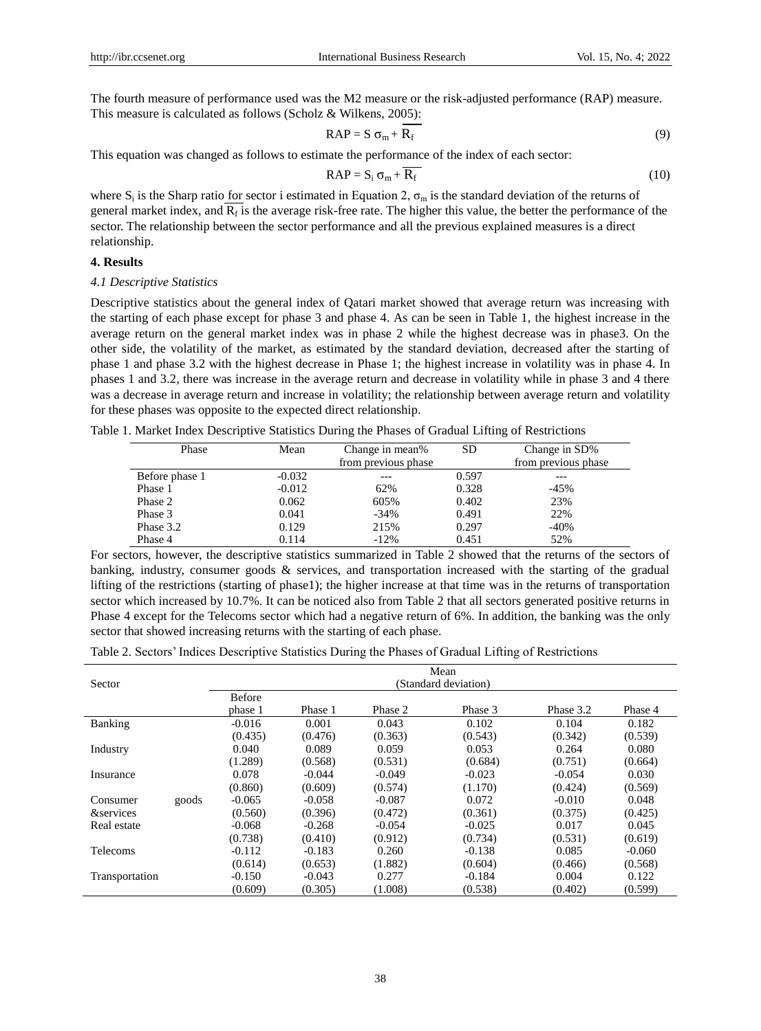The fourth measure of performance used was the M2 measure or the risk-adjusted performance (RAP) measure. This measure is calculated as follows (Scholz & Wilkens, 2005):

$$
RAP = S \sigma_{m} + R_{f}
$$
 (9)

This equation was changed as follows to estimate the performance of the index of each sector:

$$
RAP = S_i \sigma_m + \overline{R_f}
$$
 (10)

where  $S_i$  is the Sharp ratio for sector i estimated in Equation 2,  $\sigma_m$  is the standard deviation of the returns of general market index, and  $R_f$  is the average risk-free rate. The higher this value, the better the performance of the sector. The relationship between the sector performance and all the previous explained measures is a direct relationship.

## **4. Results**

## *4.1 Descriptive Statistics*

Descriptive statistics about the general index of Qatari market showed that average return was increasing with the starting of each phase except for phase 3 and phase 4. As can be seen in Table 1, the highest increase in the average return on the general market index was in phase 2 while the highest decrease was in phase3. On the other side, the volatility of the market, as estimated by the standard deviation, decreased after the starting of phase 1 and phase 3.2 with the highest decrease in Phase 1; the highest increase in volatility was in phase 4. In phases 1 and 3.2, there was increase in the average return and decrease in volatility while in phase 3 and 4 there was a decrease in average return and increase in volatility; the relationship between average return and volatility for these phases was opposite to the expected direct relationship.

Table 1. Market Index Descriptive Statistics During the Phases of Gradual Lifting of Restrictions

| Phase          | Mean     | Change in mean%     | <b>SD</b> | Change in SD%       |
|----------------|----------|---------------------|-----------|---------------------|
|                |          | from previous phase |           | from previous phase |
| Before phase 1 | $-0.032$ |                     | 0.597     | ---                 |
| Phase 1        | $-0.012$ | 62%                 | 0.328     | $-45%$              |
| Phase 2        | 0.062    | 605%                | 0.402     | 23%                 |
| Phase 3        | 0.041    | $-34%$              | 0.491     | 22%                 |
| Phase 3.2      | 0.129    | 215%                | 0.297     | -40%                |
| Phase 4        | 0.114    | $-12%$              | 0.451     | 52%                 |

For sectors, however, the descriptive statistics summarized in Table 2 showed that the returns of the sectors of banking, industry, consumer goods & services, and transportation increased with the starting of the gradual lifting of the restrictions (starting of phase1); the higher increase at that time was in the returns of transportation sector which increased by 10.7%. It can be noticed also from Table 2 that all sectors generated positive returns in Phase 4 except for the Telecoms sector which had a negative return of 6%. In addition, the banking was the only sector that showed increasing returns with the starting of each phase.

Table 2. Sectors' Indices Descriptive Statistics During the Phases of Gradual Lifting of Restrictions

|                                    |       |                      |          |          | Mean     |           |          |
|------------------------------------|-------|----------------------|----------|----------|----------|-----------|----------|
| Sector                             |       | (Standard deviation) |          |          |          |           |          |
|                                    |       | <b>Before</b>        |          |          |          |           |          |
|                                    |       | phase 1              | Phase 1  | Phase 2  | Phase 3  | Phase 3.2 | Phase 4  |
| Banking                            |       | $-0.016$             | 0.001    | 0.043    | 0.102    | 0.104     | 0.182    |
|                                    |       | (0.435)              | (0.476)  | (0.363)  | (0.543)  | (0.342)   | (0.539)  |
| Industry                           |       | 0.040                | 0.089    | 0.059    | 0.053    | 0.264     | 0.080    |
|                                    |       | (1.289)              | (0.568)  | (0.531)  | (0.684)  | (0.751)   | (0.664)  |
| Insurance                          |       | 0.078                | $-0.044$ | $-0.049$ | $-0.023$ | $-0.054$  | 0.030    |
|                                    |       | (0.860)              | (0.609)  | (0.574)  | (1.170)  | (0.424)   | (0.569)  |
| Consumer                           | goods | $-0.065$             | $-0.058$ | $-0.087$ | 0.072    | $-0.010$  | 0.048    |
| <i><u><b>&amp;services</b></u></i> |       | (0.560)              | (0.396)  | (0.472)  | (0.361)  | (0.375)   | (0.425)  |
| Real estate                        |       | $-0.068$             | $-0.268$ | $-0.054$ | $-0.025$ | 0.017     | 0.045    |
|                                    |       | (0.738)              | (0.410)  | (0.912)  | (0.734)  | (0.531)   | (0.619)  |
| Telecoms                           |       | $-0.112$             | $-0.183$ | 0.260    | $-0.138$ | 0.085     | $-0.060$ |
|                                    |       | (0.614)              | (0.653)  | (1.882)  | (0.604)  | (0.466)   | (0.568)  |
| Transportation                     |       | $-0.150$             | $-0.043$ | 0.277    | $-0.184$ | 0.004     | 0.122    |
|                                    |       | (0.609)              | (0.305)  | (1.008)  | (0.538)  | (0.402)   | (0.599)  |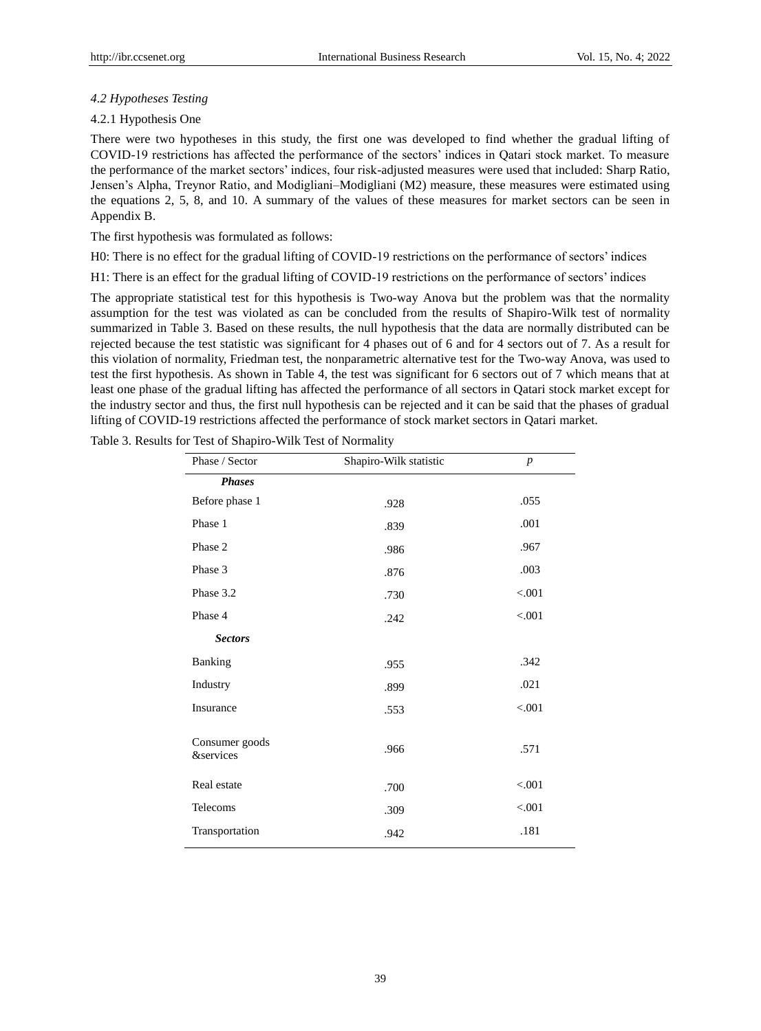## *4.2 Hypotheses Testing*

## 4.2.1 Hypothesis One

There were two hypotheses in this study, the first one was developed to find whether the gradual lifting of COVID-19 restrictions has affected the performance of the sectors' indices in Qatari stock market. To measure the performance of the market sectors' indices, four risk-adjusted measures were used that included: Sharp Ratio, Jensen's Alpha, Treynor Ratio, and Modigliani–Modigliani (M2) measure, these measures were estimated using the equations 2, 5, 8, and 10. A summary of the values of these measures for market sectors can be seen in Appendix B.

The first hypothesis was formulated as follows:

H0: There is no effect for the gradual lifting of COVID-19 restrictions on the performance of sectors' indices

H1: There is an effect for the gradual lifting of COVID-19 restrictions on the performance of sectors' indices

The appropriate statistical test for this hypothesis is Two-way Anova but the problem was that the normality assumption for the test was violated as can be concluded from the results of Shapiro-Wilk test of normality summarized in Table 3. Based on these results, the null hypothesis that the data are normally distributed can be rejected because the test statistic was significant for 4 phases out of 6 and for 4 sectors out of 7. As a result for this violation of normality, Friedman test, the nonparametric alternative test for the Two-way Anova, was used to test the first hypothesis. As shown in Table 4, the test was significant for 6 sectors out of 7 which means that at least one phase of the gradual lifting has affected the performance of all sectors in Qatari stock market except for the industry sector and thus, the first null hypothesis can be rejected and it can be said that the phases of gradual lifting of COVID-19 restrictions affected the performance of stock market sectors in Qatari market.

| Phase / Sector                         | Shapiro-Wilk statistic | $\boldsymbol{p}$ |
|----------------------------------------|------------------------|------------------|
| <b>Phases</b>                          |                        |                  |
| Before phase 1                         | .928                   | .055             |
| Phase 1                                | .839                   | .001             |
| Phase 2                                | .986                   | .967             |
| Phase 3                                | .876                   | .003             |
| Phase 3.2                              | .730                   | < .001           |
| Phase 4                                | .242                   | < .001           |
| <b>Sectors</b>                         |                        |                  |
| Banking                                | .955                   | .342             |
| Industry                               | .899                   | .021             |
| Insurance                              | .553                   | < .001           |
| Consumer goods<br><i>&amp;services</i> | .966                   | .571             |
| Real estate                            | .700                   | < .001           |
| Telecoms                               | .309                   | < .001           |
| Transportation                         | .942                   | .181             |

Table 3. Results for Test of Shapiro-Wilk Test of Normality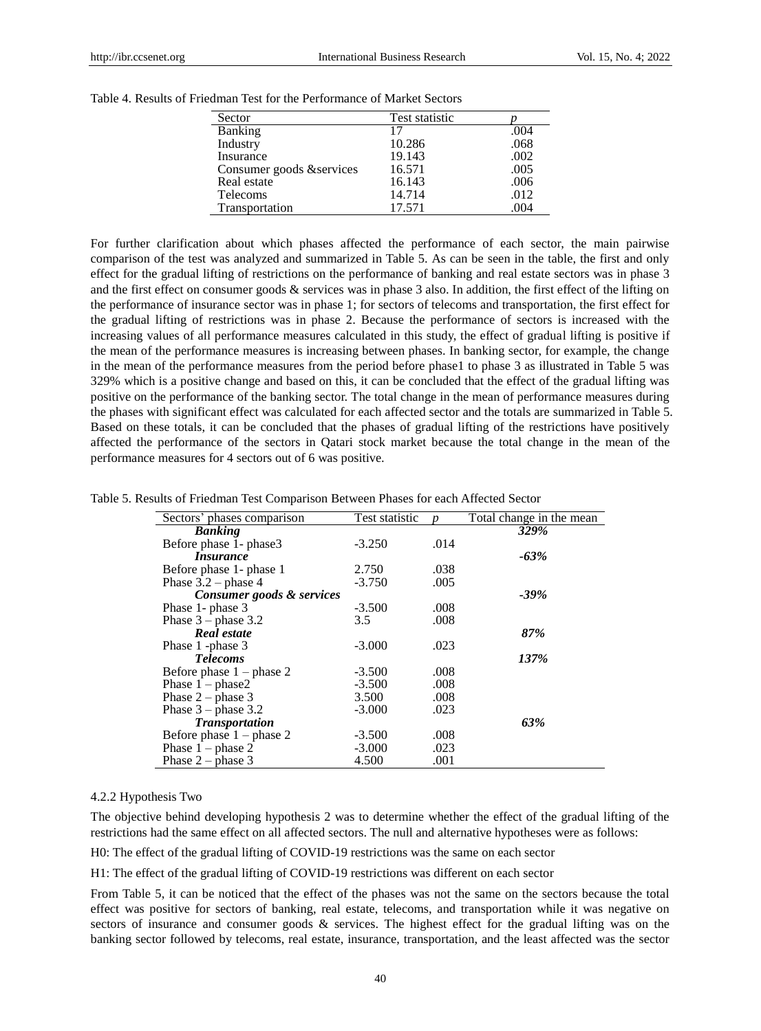| Sector                    | <b>Test statistic</b> |      |
|---------------------------|-----------------------|------|
| <b>Banking</b>            | 17                    | .004 |
| Industry                  | 10.286                | .068 |
| Insurance                 | 19.143                | .002 |
| Consumer goods & services | 16.571                | .005 |
| Real estate               | 16.143                | .006 |
| Telecoms                  | 14.714                | .012 |
| Transportation            | 17.571                | .004 |

Table 4. Results of Friedman Test for the Performance of Market Sectors

For further clarification about which phases affected the performance of each sector, the main pairwise comparison of the test was analyzed and summarized in Table 5. As can be seen in the table, the first and only effect for the gradual lifting of restrictions on the performance of banking and real estate sectors was in phase 3 and the first effect on consumer goods & services was in phase 3 also. In addition, the first effect of the lifting on the performance of insurance sector was in phase 1; for sectors of telecoms and transportation, the first effect for the gradual lifting of restrictions was in phase 2. Because the performance of sectors is increased with the increasing values of all performance measures calculated in this study, the effect of gradual lifting is positive if the mean of the performance measures is increasing between phases. In banking sector, for example, the change in the mean of the performance measures from the period before phase1 to phase 3 as illustrated in Table 5 was 329% which is a positive change and based on this, it can be concluded that the effect of the gradual lifting was positive on the performance of the banking sector. The total change in the mean of performance measures during the phases with significant effect was calculated for each affected sector and the totals are summarized in Table 5. Based on these totals, it can be concluded that the phases of gradual lifting of the restrictions have positively affected the performance of the sectors in Qatari stock market because the total change in the mean of the performance measures for 4 sectors out of 6 was positive.

| Table 5. Results of Friedman Test Comparison Between Phases for each Affected Sector |  |
|--------------------------------------------------------------------------------------|--|
|--------------------------------------------------------------------------------------|--|

| Sectors' phases comparison | Test statistic |      | Total change in the mean |
|----------------------------|----------------|------|--------------------------|
| <b>Banking</b>             |                |      | 329%                     |
| Before phase 1- phase3     | $-3.250$       | .014 |                          |
| <i>Insurance</i>           |                |      | $-63\%$                  |
| Before phase 1- phase 1    | 2.750          | .038 |                          |
| Phase $3.2$ – phase 4      | $-3.750$       | .005 |                          |
| Consumer goods & services  |                |      | -39%                     |
| Phase 1- phase 3           | $-3.500$       | .008 |                          |
| Phase $3$ – phase $3.2$    | 3.5            | .008 |                          |
| Real estate                |                |      | 87%                      |
| Phase 1 -phase 3           | $-3.000$       | .023 |                          |
| <b>Telecoms</b>            |                |      | 137%                     |
| Before phase $1$ – phase 2 | $-3.500$       | .008 |                          |
| Phase $1$ – phase $2$      | $-3.500$       | .008 |                          |
| Phase $2$ – phase 3        | 3.500          | .008 |                          |
| Phase $3$ – phase 3.2      | $-3.000$       | .023 |                          |
| <b>Transportation</b>      |                |      | 63%                      |
| Before phase $1$ – phase 2 | $-3.500$       | .008 |                          |
| Phase $1$ – phase 2        | $-3.000$       | .023 |                          |
| Phase $2$ – phase 3        | 4.500          | .001 |                          |

#### 4.2.2 Hypothesis Two

The objective behind developing hypothesis 2 was to determine whether the effect of the gradual lifting of the restrictions had the same effect on all affected sectors. The null and alternative hypotheses were as follows:

H0: The effect of the gradual lifting of COVID-19 restrictions was the same on each sector

H1: The effect of the gradual lifting of COVID-19 restrictions was different on each sector

From Table 5, it can be noticed that the effect of the phases was not the same on the sectors because the total effect was positive for sectors of banking, real estate, telecoms, and transportation while it was negative on sectors of insurance and consumer goods & services. The highest effect for the gradual lifting was on the banking sector followed by telecoms, real estate, insurance, transportation, and the least affected was the sector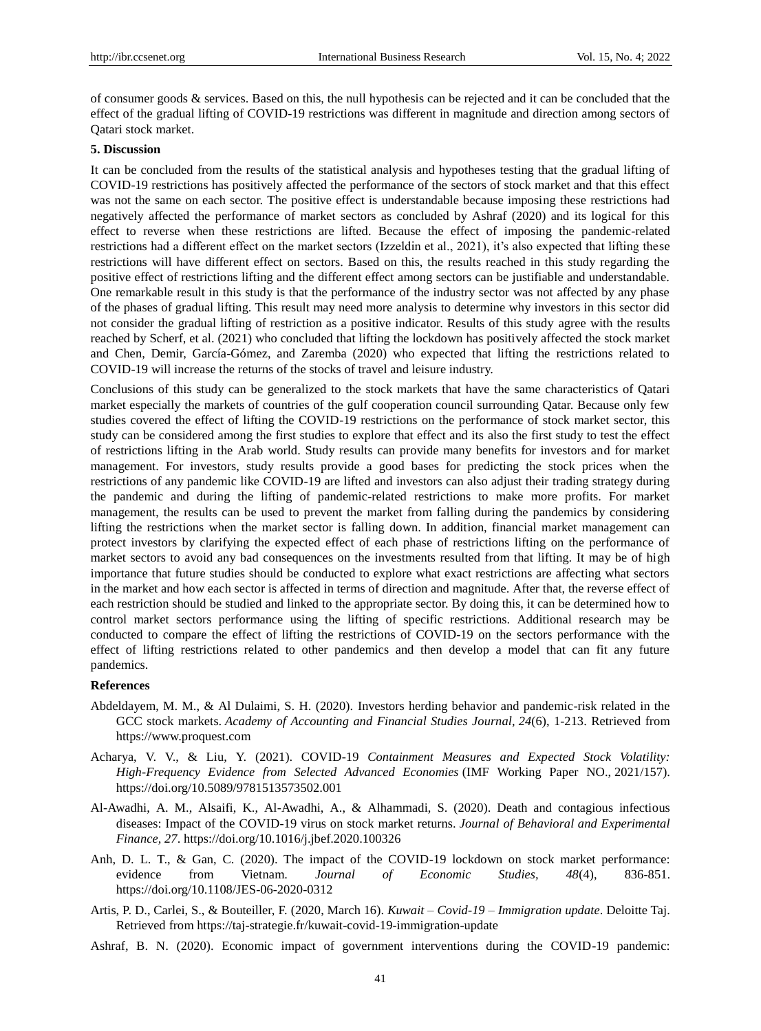of consumer goods  $\&$  services. Based on this, the null hypothesis can be rejected and it can be concluded that the effect of the gradual lifting of COVID-19 restrictions was different in magnitude and direction among sectors of Qatari stock market.

## **5. Discussion**

It can be concluded from the results of the statistical analysis and hypotheses testing that the gradual lifting of COVID-19 restrictions has positively affected the performance of the sectors of stock market and that this effect was not the same on each sector. The positive effect is understandable because imposing these restrictions had negatively affected the performance of market sectors as concluded by Ashraf (2020) and its logical for this effect to reverse when these restrictions are lifted. Because the effect of imposing the pandemic-related restrictions had a different effect on the market sectors (Izzeldin et al., 2021), it's also expected that lifting these restrictions will have different effect on sectors. Based on this, the results reached in this study regarding the positive effect of restrictions lifting and the different effect among sectors can be justifiable and understandable. One remarkable result in this study is that the performance of the industry sector was not affected by any phase of the phases of gradual lifting. This result may need more analysis to determine why investors in this sector did not consider the gradual lifting of restriction as a positive indicator. Results of this study agree with the results reached by Scherf, et al. (2021) who concluded that lifting the lockdown has positively affected the stock market and Chen, Demir, García-Gómez, and Zaremba (2020) who expected that lifting the restrictions related to COVID-19 will increase the returns of the stocks of travel and leisure industry.

Conclusions of this study can be generalized to the stock markets that have the same characteristics of Qatari market especially the markets of countries of the gulf cooperation council surrounding Qatar. Because only few studies covered the effect of lifting the COVID-19 restrictions on the performance of stock market sector, this study can be considered among the first studies to explore that effect and its also the first study to test the effect of restrictions lifting in the Arab world. Study results can provide many benefits for investors and for market management. For investors, study results provide a good bases for predicting the stock prices when the restrictions of any pandemic like COVID-19 are lifted and investors can also adjust their trading strategy during the pandemic and during the lifting of pandemic-related restrictions to make more profits. For market management, the results can be used to prevent the market from falling during the pandemics by considering lifting the restrictions when the market sector is falling down. In addition, financial market management can protect investors by clarifying the expected effect of each phase of restrictions lifting on the performance of market sectors to avoid any bad consequences on the investments resulted from that lifting. It may be of high importance that future studies should be conducted to explore what exact restrictions are affecting what sectors in the market and how each sector is affected in terms of direction and magnitude. After that, the reverse effect of each restriction should be studied and linked to the appropriate sector. By doing this, it can be determined how to control market sectors performance using the lifting of specific restrictions. Additional research may be conducted to compare the effect of lifting the restrictions of COVID-19 on the sectors performance with the effect of lifting restrictions related to other pandemics and then develop a model that can fit any future pandemics.

## **References**

- Abdeldayem, M. M., & Al Dulaimi, S. H. (2020). Investors herding behavior and pandemic-risk related in the GCC stock markets. *Academy of Accounting and Financial Studies Journal, 24*(6), 1-213. Retrieved from https://www.proquest.com
- Acharya, V. V., & Liu, Y. (2021). COVID-19 *Containment Measures and Expected Stock Volatility: High-Frequency Evidence from Selected Advanced Economies* (IMF Working Paper NO., 2021/157). https://doi.org/10.5089/9781513573502.001
- Al-Awadhi, A. M., Alsaifi, K., Al-Awadhi, A., & Alhammadi, S. (2020). Death and contagious infectious diseases: Impact of the COVID-19 virus on stock market returns. *Journal of Behavioral and Experimental Finance, 27*. https://doi.org/10.1016/j.jbef.2020.100326
- Anh, D. L. T., & Gan, C. (2020). The impact of the COVID-19 lockdown on stock market performance: evidence from Vietnam. *Journal of Economic Studies, 48*(4), 836-851. https://doi.org/10.1108/JES-06-2020-0312
- Artis, P. [D.,](https://taj-strategie.fr/auteur/diane-artis/) Carlei, S., & Bouteiller, F. (2020, March 16). *Kuwait – Covid-19 – Immigration update*. Deloitte Taj. Retrieved from https://taj-strategie.fr/kuwait-covid-19-immigration-update
- Ashraf, B. N. (2020). Economic impact of government interventions during the COVID-19 pandemic: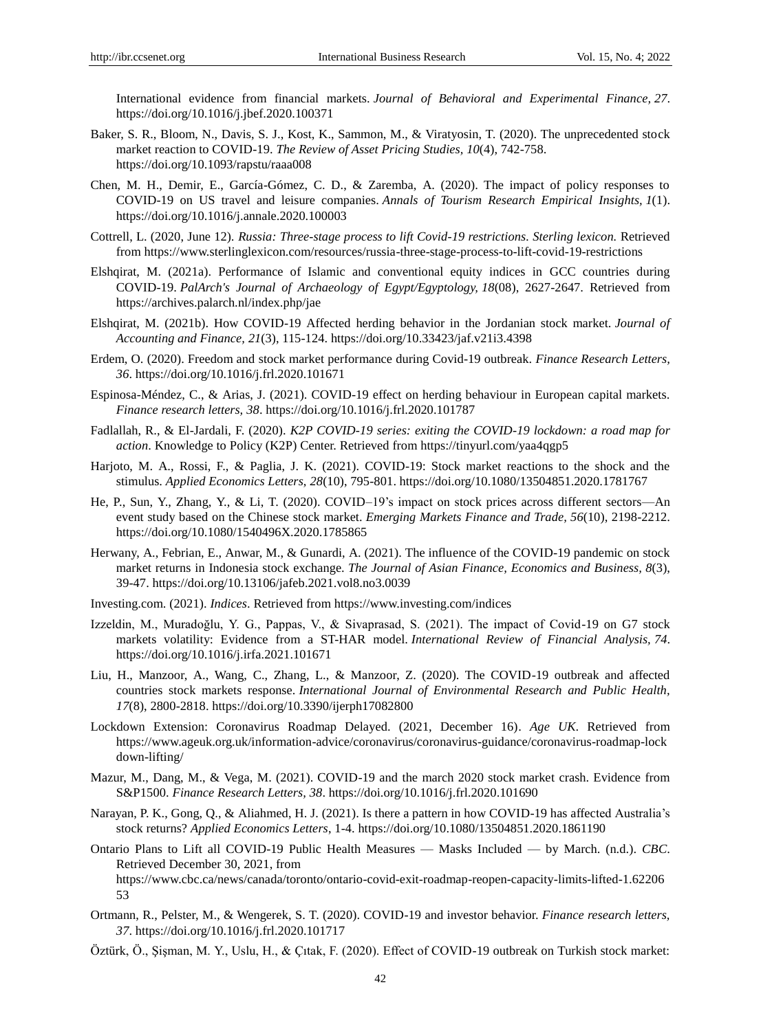International evidence from financial markets. *Journal of Behavioral and Experimental Finance, 27*. https://doi.org/10.1016/j.jbef.2020.100371

- Baker, S. R., Bloom, N., Davis, S. J., Kost, K., Sammon, M., & Viratyosin, T. (2020). The unprecedented stock market reaction to COVID-19. *The Review of Asset Pricing Studies, 10*(4), 742-758. https://doi.org/10.1093/rapstu/raaa008
- Chen, M. H., Demir, E., García-Gómez, C. D., & Zaremba, A. (2020). The impact of policy responses to COVID-19 on US travel and leisure companies. *Annals of Tourism Research Empirical Insights, 1*(1). https://doi.org/10.1016/j.annale.2020.100003
- Cottrell, L. (2020, June 12)*. Russia: Three-stage process to lift Covid-19 restrictions. Sterling lexicon.* Retrieved from https://www.sterlinglexicon.com/resources/russia-three-stage-process-to-lift-covid-19-restrictions
- Elshqirat, M. (2021a). Performance of Islamic and conventional equity indices in GCC countries during COVID-19. *PalArch's Journal of Archaeology of Egypt/Egyptology, 18*(08), 2627-2647. Retrieved from https://archives.palarch.nl/index.php/jae
- Elshqirat, M. (2021b). How COVID-19 Affected herding behavior in the Jordanian stock market. *Journal of Accounting and Finance, 21*(3), 115-124. https://doi.org/10.33423/jaf.v21i3.4398
- Erdem, O. (2020). Freedom and stock market performance during Covid-19 outbreak. *Finance Research Letters, 36*. https://doi.org/10.1016/j.frl.2020.101671
- Espinosa-Méndez, C., & Arias, J. (2021). COVID-19 effect on herding behaviour in European capital markets. *Finance research letters, 38*. https://doi.org/10.1016/j.frl.2020.101787
- Fadlallah, R., & El-Jardali, F. (2020). *K2P COVID-19 series: exiting the COVID-19 lockdown: a road map for action*. Knowledge to Policy (K2P) Center. Retrieved from https://tinyurl.com/yaa4qgp5
- Harjoto, M. A., Rossi, F., & Paglia, J. K. (2021). COVID-19: Stock market reactions to the shock and the stimulus. *Applied Economics Letters, 28*(10), 795-801. https://doi.org/10.1080/13504851.2020.1781767
- He, P., Sun, Y., Zhang, Y., & Li, T. (2020). COVID–19's impact on stock prices across different sectors—An event study based on the Chinese stock market. *Emerging Markets Finance and Trade, 56*(10), 2198-2212. https://doi.org/10.1080/1540496X.2020.1785865
- Herwany, A., Febrian, E., Anwar, M., & Gunardi, A. (2021). The influence of the COVID-19 pandemic on stock market returns in Indonesia stock exchange. *The Journal of Asian Finance, Economics and Business, 8*(3), 39-47. https://doi.org/10.13106/jafeb.2021.vol8.no3.0039
- Investing.com. (2021). *Indices*. Retrieved from https://www.investing.com/indices
- Izzeldin, M., Muradoğlu, Y. G., Pappas, V., & Sivaprasad, S. (2021). The impact of Covid-19 on G7 stock markets volatility: Evidence from a ST-HAR model. *International Review of Financial Analysis, 74*. https://doi.org/10.1016/j.irfa.2021.101671
- Liu, H., Manzoor, A., Wang, C., Zhang, L., & Manzoor, Z. (2020). The COVID-19 outbreak and affected countries stock markets response. *International Journal of Environmental Research and Public Health, 17*(8), 2800-2818. https://doi.org/10.3390/ijerph17082800
- Lockdown Extension: Coronavirus Roadmap Delayed. (2021, December 16). *Age UK*. Retrieved from https://www.ageuk.org.uk/information-advice/coronavirus/coronavirus-guidance/coronavirus-roadmap-lock down-lifting/
- Mazur, M., Dang, M., & Vega, M. (2021). COVID-19 and the march 2020 stock market crash. Evidence from S&P1500. *Finance Research Letters, 38*. https://doi.org/10.1016/j.frl.2020.101690
- Narayan, P. K., Gong, Q., & Aliahmed, H. J. (2021). Is there a pattern in how COVID-19 has affected Australia's stock returns? *Applied Economics Letters*, 1-4. https://doi.org/10.1080/13504851.2020.1861190
- Ontario Plans to Lift all COVID-19 Public Health Measures Masks Included by March. (n.d.). *CBC*. Retrieved December 30, 2021, from

https://www.cbc.ca/news/canada/toronto/ontario-covid-exit-roadmap-reopen-capacity-limits-lifted-1.62206 53

- Ortmann, R., Pelster, M., & Wengerek, S. T. (2020). COVID-19 and investor behavior. *Finance research letters, 37*. https://doi.org/10.1016/j.frl.2020.101717
- Öztürk, Ö., Şişman, M. Y., Uslu, H., & Çıtak, F. (2020). Effect of COVID-19 outbreak on Turkish stock market: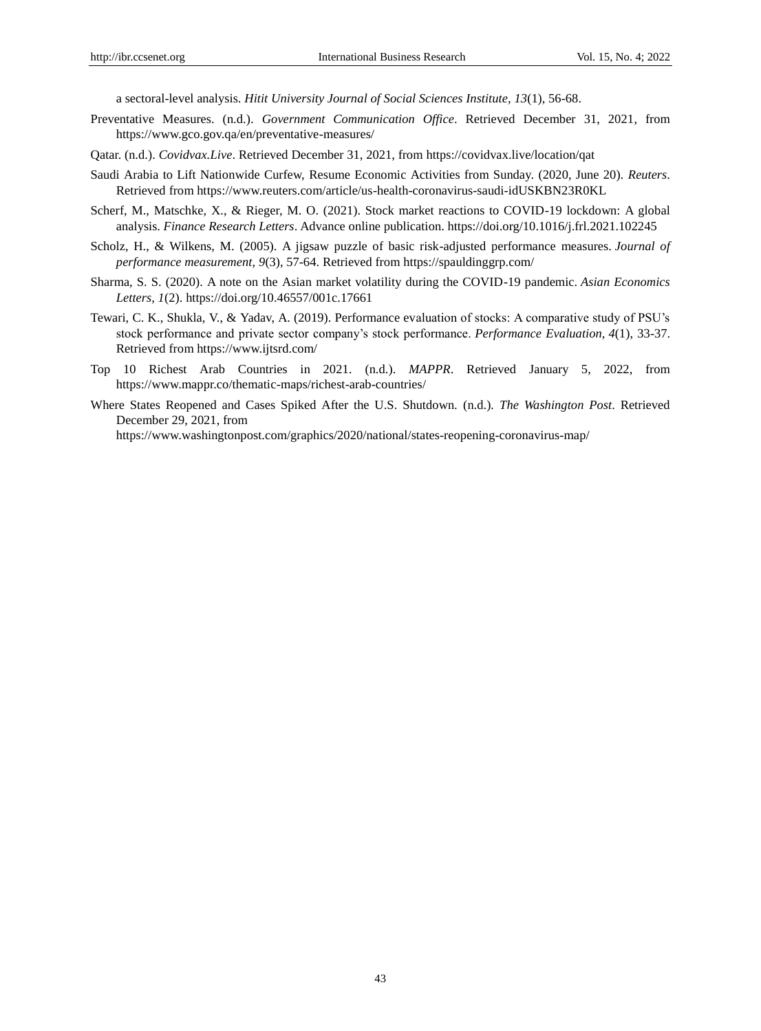a sectoral-level analysis. *Hitit University Journal of Social Sciences Institute, 13*(1), 56-68.

- Preventative Measures. (n.d.). *Government Communication Office*. Retrieved December 31, 2021, from https://www.gco.gov.qa/en/preventative-measures/
- Qatar. (n.d.). *Covidvax.Live*. Retrieved December 31, 2021, from https://covidvax.live/location/qat
- Saudi Arabia to Lift Nationwide Curfew, Resume Economic Activities from Sunday. (2020, June 20). *Reuters*. Retrieved from https://www.reuters.com/article/us-health-coronavirus-saudi-idUSKBN23R0KL
- Scherf, M., Matschke, X., & Rieger, M. O. (2021). Stock market reactions to COVID-19 lockdown: A global analysis. *Finance Research Letters*. Advance online publication. https://doi.org/10.1016/j.frl.2021.102245
- Scholz, H., & Wilkens, M. (2005). A jigsaw puzzle of basic risk-adjusted performance measures. *Journal of performance measurement, 9*(3), 57-64. Retrieved from https://spauldinggrp.com/
- Sharma, S. S. (2020). A note on the Asian market volatility during the COVID-19 pandemic. *Asian Economics Letters, 1*(2). https://doi.org/10.46557/001c.17661
- Tewari, C. K., Shukla, V., & Yadav, A. (2019). Performance evaluation of stocks: A comparative study of PSU's stock performance and private sector company's stock performance. *Performance Evaluation, 4*(1), 33-37. Retrieved from https://www.ijtsrd.com/
- Top 10 Richest Arab Countries in 2021*.* (n.d.). *MAPPR*. Retrieved January 5, 2022, from https://www.mappr.co/thematic-maps/richest-arab-countries/
- Where States Reopened and Cases Spiked After the U.S. Shutdown*.* (n.d.)*. The Washington Post*. Retrieved December 29, 2021, from

https://www.washingtonpost.com/graphics/2020/national/states-reopening-coronavirus-map/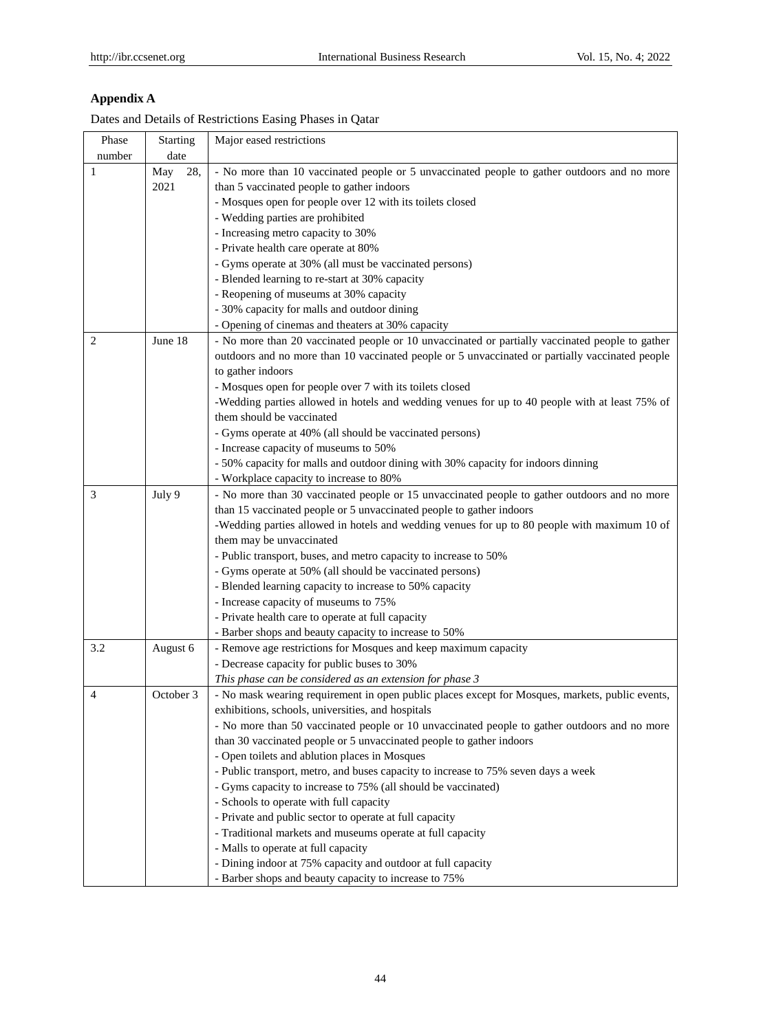## **Appendix A**

| Phase  | Starting   | Major eased restrictions                                                                        |
|--------|------------|-------------------------------------------------------------------------------------------------|
| number | date       |                                                                                                 |
| 1      | May<br>28, | - No more than 10 vaccinated people or 5 unvaccinated people to gather outdoors and no more     |
|        | 2021       | than 5 vaccinated people to gather indoors                                                      |
|        |            | - Mosques open for people over 12 with its toilets closed                                       |
|        |            | - Wedding parties are prohibited                                                                |
|        |            | - Increasing metro capacity to 30%                                                              |
|        |            | - Private health care operate at 80%                                                            |
|        |            | - Gyms operate at 30% (all must be vaccinated persons)                                          |
|        |            | - Blended learning to re-start at 30% capacity                                                  |
|        |            | - Reopening of museums at 30% capacity                                                          |
|        |            | - 30% capacity for malls and outdoor dining                                                     |
|        |            | - Opening of cinemas and theaters at 30% capacity                                               |
| 2      | June 18    | - No more than 20 vaccinated people or 10 unvaccinated or partially vaccinated people to gather |
|        |            | outdoors and no more than 10 vaccinated people or 5 unvaccinated or partially vaccinated people |
|        |            | to gather indoors                                                                               |
|        |            | - Mosques open for people over 7 with its toilets closed                                        |
|        |            | -Wedding parties allowed in hotels and wedding venues for up to 40 people with at least 75% of  |
|        |            | them should be vaccinated                                                                       |
|        |            | - Gyms operate at 40% (all should be vaccinated persons)                                        |
|        |            | - Increase capacity of museums to 50%                                                           |
|        |            | - 50% capacity for malls and outdoor dining with 30% capacity for indoors dinning               |
|        |            | - Workplace capacity to increase to 80%                                                         |
| 3      | July 9     | - No more than 30 vaccinated people or 15 unvaccinated people to gather outdoors and no more    |
|        |            | than 15 vaccinated people or 5 unvaccinated people to gather indoors                            |
|        |            | -Wedding parties allowed in hotels and wedding venues for up to 80 people with maximum 10 of    |
|        |            | them may be unvaccinated                                                                        |
|        |            | - Public transport, buses, and metro capacity to increase to 50%                                |
|        |            | - Gyms operate at 50% (all should be vaccinated persons)                                        |
|        |            | - Blended learning capacity to increase to 50% capacity                                         |
|        |            | - Increase capacity of museums to 75%                                                           |
|        |            | - Private health care to operate at full capacity                                               |
|        |            | - Barber shops and beauty capacity to increase to 50%                                           |
| 3.2    | August 6   | - Remove age restrictions for Mosques and keep maximum capacity                                 |
|        |            | - Decrease capacity for public buses to 30%                                                     |
|        |            | This phase can be considered as an extension for phase 3                                        |
| 4      | October 3  | - No mask wearing requirement in open public places except for Mosques, markets, public events, |
|        |            | exhibitions, schools, universities, and hospitals                                               |
|        |            | - No more than 50 vaccinated people or 10 unvaccinated people to gather outdoors and no more    |
|        |            | than 30 vaccinated people or 5 unvaccinated people to gather indoors                            |
|        |            | - Open toilets and ablution places in Mosques                                                   |
|        |            | - Public transport, metro, and buses capacity to increase to 75% seven days a week              |
|        |            | - Gyms capacity to increase to 75% (all should be vaccinated)                                   |
|        |            | - Schools to operate with full capacity                                                         |
|        |            | - Private and public sector to operate at full capacity                                         |
|        |            | - Traditional markets and museums operate at full capacity                                      |
|        |            | - Malls to operate at full capacity                                                             |
|        |            | - Dining indoor at 75% capacity and outdoor at full capacity                                    |
|        |            | - Barber shops and beauty capacity to increase to 75%                                           |
|        |            |                                                                                                 |